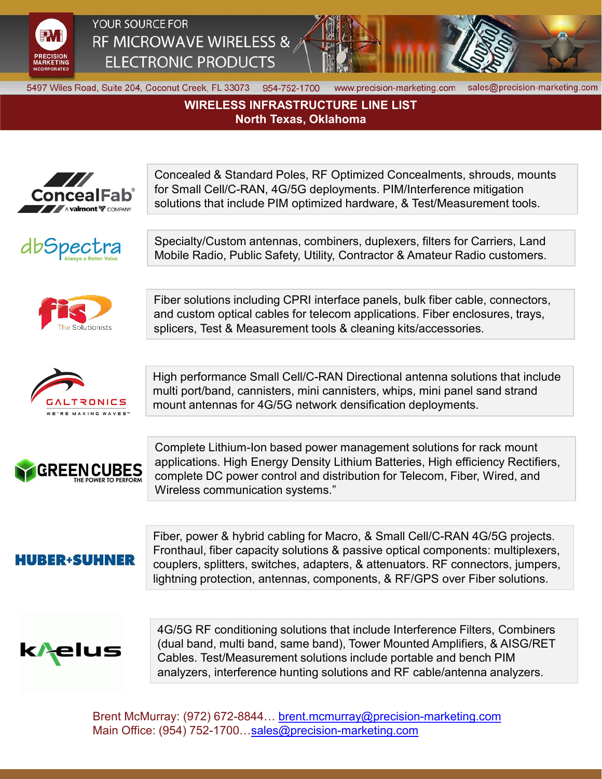

## YOUR SOURCE FOR RF MICROWAVE WIRELESS & **ELECTRONIC PRODUCTS**



5497 Wiles Road, Suite 204, Coconut Creek, FL 33073 954-752-1700

www.precision-marketing.com

sales@precision-marketing.com

## **WIRELESS INFRASTRUCTURE LINE LIST North Texas, Oklahoma**